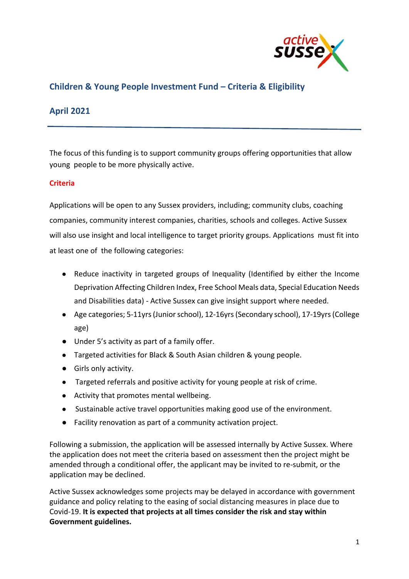

# **Children & Young People Investment Fund – Criteria & Eligibility**

## **April 2021**

The focus of this funding is to support community groups offering opportunities that allow young people to be more physically active.

### **Criteria**

Applications will be open to any Sussex providers, including; community clubs, coaching companies, community interest companies, charities, schools and colleges. Active Sussex will also use insight and local intelligence to target priority groups. Applications must fit into at least one of the following categories:

- Reduce inactivity in targeted groups of Inequality (Identified by either the Income Deprivation Affecting Children Index, Free School Meals data, Special Education Needs and Disabilities data) - Active Sussex can give insight support where needed.
- Age categories; 5-11yrs (Junior school), 12-16yrs (Secondary school), 17-19yrs (College age)
- Under 5's activity as part of a family offer.
- Targeted activities for Black & South Asian children & young people.
- Girls only activity.
- Targeted referrals and positive activity for young people at risk of crime.
- Activity that promotes mental wellbeing.
- Sustainable active travel opportunities making good use of the environment.
- Facility renovation as part of a community activation project.

Following a submission, the application will be assessed internally by Active Sussex. Where the application does not meet the criteria based on assessment then the project might be amended through a conditional offer, the applicant may be invited to re-submit, or the application may be declined.

Active Sussex acknowledges some projects may be delayed in accordance with government guidance and policy relating to the easing of social distancing measures in place due to Covid-19. **It is expected that projects at all times consider the risk and stay within Government guidelines.**